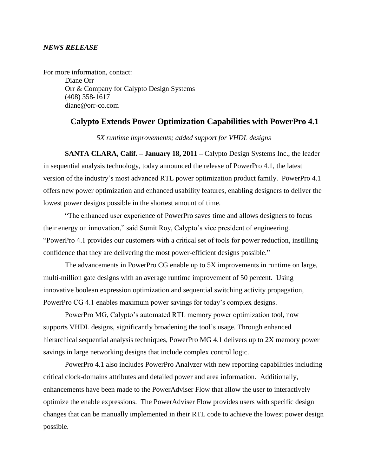## *NEWS RELEASE*

For more information, contact: Diane Orr Orr & Company for Calypto Design Systems (408) 358-1617 diane@orr-co.com

## **Calypto Extends Power Optimization Capabilities with PowerPro 4.1**

*5X runtime improvements; added support for VHDL designs*

**SANTA CLARA, Calif. – January 18, 2011 –** Calypto Design Systems Inc., the leader in sequential analysis technology, today announced the release of PowerPro 4.1, the latest version of the industry's most advanced RTL power optimization product family. PowerPro 4.1 offers new power optimization and enhanced usability features, enabling designers to deliver the lowest power designs possible in the shortest amount of time.

"The enhanced user experience of PowerPro saves time and allows designers to focus their energy on innovation," said Sumit Roy, Calypto's vice president of engineering. "PowerPro 4.1 provides our customers with a critical set of tools for power reduction, instilling confidence that they are delivering the most power-efficient designs possible."

The advancements in PowerPro CG enable up to 5X improvements in runtime on large, multi-million gate designs with an average runtime improvement of 50 percent. Using innovative boolean expression optimization and sequential switching activity propagation, PowerPro CG 4.1 enables maximum power savings for today's complex designs.

PowerPro MG, Calypto's automated RTL memory power optimization tool, now supports VHDL designs, significantly broadening the tool's usage. Through enhanced hierarchical sequential analysis techniques, PowerPro MG 4.1 delivers up to 2X memory power savings in large networking designs that include complex control logic.

PowerPro 4.1 also includes PowerPro Analyzer with new reporting capabilities including critical clock-domains attributes and detailed power and area information. Additionally, enhancements have been made to the PowerAdviser Flow that allow the user to interactively optimize the enable expressions. The PowerAdviser Flow provides users with specific design changes that can be manually implemented in their RTL code to achieve the lowest power design possible.